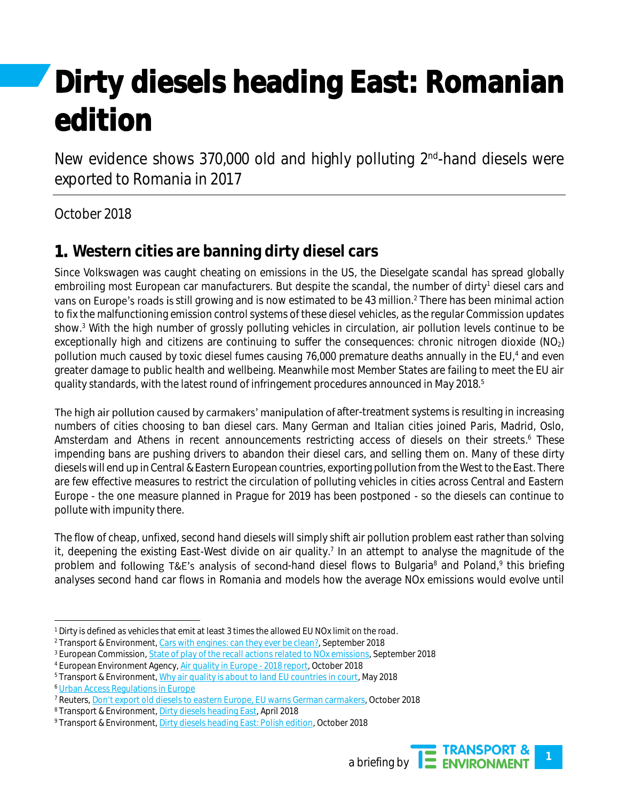# Dirty diesels heading East: Romanian edition

New evidence shows 370,000 old and highly polluting 2<sup>nd</sup>-hand diesels were exported to Romania in 2017

## October 2018

# 1. **Western cities are banning dirty diesel cars**

Since Volkswagen was caught cheating on emissions in the US, the Dieselgate scandal has spread globally embroiling most European car manufacturers. But despite the scandal, the number of dirty<sup>1</sup> diesel cars and vans on Europe's roads is still growing and is now estimated to be 43 million.<sup>2</sup> There has been minimal action to fix the malfunctioning emission control systems of these diesel vehicles, as the regular Commission updates show.<sup>3</sup> With the high number of grossly polluting vehicles in circulation, air pollution levels continue to be exceptionally high and citizens are continuing to suffer the consequences: chronic nitrogen dioxide (NO<sub>2</sub>) pollution much caused by toxic diesel fumes causing 76,000 premature deaths annually in the EU,<sup>4</sup> and even greater damage to public health and wellbeing. Meanwhile most Member States are failing to meet the EU air quality standards, with the latest round of infringement procedures announced in May 2018.<sup>5</sup>

The high air pollution caused by carmakers' manipulation of after-treatment systems is resulting in increasing numbers of cities choosing to ban diesel cars. Many German and Italian cities joined Paris, Madrid, Oslo, Amsterdam and Athens in recent announcements restricting access of diesels on their streets.<sup>6</sup> These impending bans are pushing drivers to abandon their diesel cars, and selling them on. Many of these dirty diesels will end up in Central & Eastern European countries, exporting pollution from the West to the East. There are few effective measures to restrict the circulation of polluting vehicles in cities across Central and Eastern Europe - the one measure planned in Prague for 2019 has been postponed - so the diesels can continue to pollute with impunity there.

The flow of cheap, unfixed, second hand diesels will simply shift air pollution problem east rather than solving it, deepening the existing East-West divide on air quality.<sup>7</sup> In an attempt to analyse the magnitude of the problem and following T&E's analysis of second-hand diesel flows to Bulgaria<sup>8</sup> and Poland,<sup>9</sup> this briefing analyses second hand car flows in Romania and models how the average NOx emissions would evolve until

<sup>9</sup> Transport & Environment[, Dirty diesels heading East: Polish edition,](https://www.transportenvironment.org/publications/dirty-diesels-heading-east-polish-edition) October 2018



<sup>1</sup> Dirty is defined as vehicles that emit at least 3 times the allowed EU NOx limit on the road.

<sup>2</sup> Transport & Environment[, Cars with engines: can they ever be clean?,](https://www.transportenvironment.org/publications/cars-engines-can-they-ever-be-clean) September 2018

<sup>&</sup>lt;sup>3</sup> European Commission, *State of play of the recall actions related to NOx emissions*, September 2018

<sup>4</sup> European Environment Agency[, Air quality in Europe -](https://www.eea.europa.eu/publications/air-quality-in-europe-2018) 2018 report, October 2018

<sup>5</sup> Transport & Environment[, Why air quality is about to land EU countries in court,](https://www.transportenvironment.org/publications/why-air-quality-about-land-eu-countries-court) May 2018

<sup>6</sup> [Urban Access Regulations in Europe](http://urbanaccessregulations.eu/)

<sup>7</sup> Reuters[, Don't export old diesels to eastern Europe, EU warns German carmakers,](https://www.reuters.com/article/us-germany-emissions/dont-export-old-diesels-to-eastern-europe-eu-warns-german-carmakers-idUSKCN1MH0QP) October 2018

<sup>8</sup> Transport & Environment[, Dirty diesels heading East,](https://www.transportenvironment.org/publications/dirty-diesels-heading-east) April 2018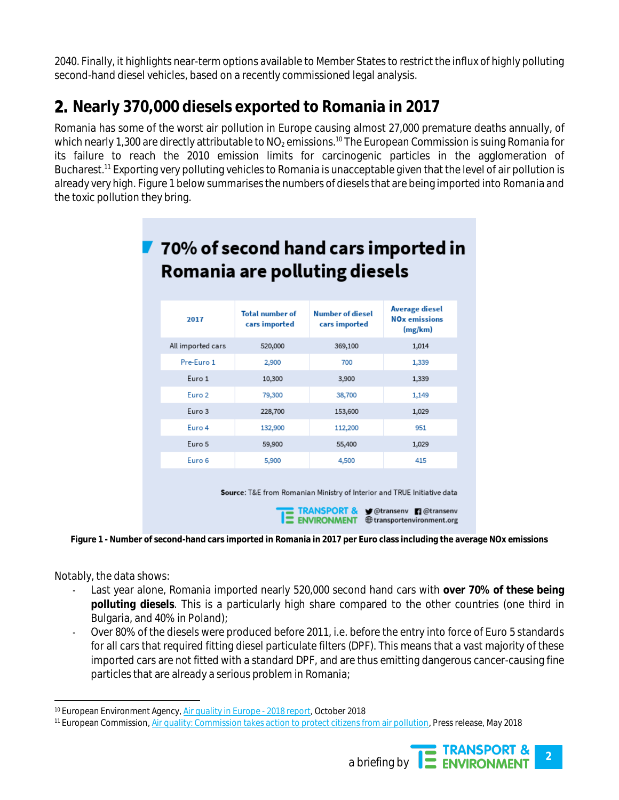2040. Finally, it highlights near-term options available to Member States to restrict the influx of highly polluting second-hand diesel vehicles, based on a recently commissioned legal analysis.

# 2. **Nearly 370,000 diesels exported to Romania in 2017**

Romania has some of the worst air pollution in Europe causing almost 27,000 premature deaths annually, of which nearly 1,300 are directly attributable to  $NO<sub>2</sub>$  emissions.<sup>10</sup> The European Commission is suing Romania for its failure to reach the 2010 emission limits for carcinogenic particles in the agglomeration of Bucharest. <sup>11</sup> Exporting very polluting vehicles to Romania is unacceptable given that the level of air pollution is already very high. [Figure 1](#page-1-0) below summarises the numbers of diesels that are being imported into Romania and the toxic pollution they bring.

| 70% of second hand cars imported in<br>Romania are polluting diesels |                                         |                                          |                                                              |  |
|----------------------------------------------------------------------|-----------------------------------------|------------------------------------------|--------------------------------------------------------------|--|
| 2017                                                                 | <b>Total number of</b><br>cars imported | <b>Number of diesel</b><br>cars imported | Average diesel<br><b>NO<sub>x</sub></b> emissions<br>(mg/km) |  |
| All imported cars                                                    | 520,000                                 | 369,100                                  | 1,014                                                        |  |
| Pre-Euro 1                                                           | 2,900                                   | 700                                      | 1,339                                                        |  |
| Euro 1                                                               | 10,300                                  | 3,900                                    | 1,339                                                        |  |
| Euro 2                                                               | 79,300                                  | 38,700                                   | 1,149                                                        |  |
| Euro 3                                                               | 228,700                                 | 153,600                                  | 1,029                                                        |  |
| Euro 4                                                               | 132,900                                 | 112,200                                  | 951                                                          |  |
| Euro 5                                                               | 59,900                                  | 55,400                                   | 1,029                                                        |  |
| Euro 6                                                               | 5,900                                   | 4,500                                    | 415                                                          |  |
|                                                                      |                                         |                                          |                                                              |  |

**Source:** T&E from Romanian Ministry of Interior and TRUE Initiative data

| $\sim$ |                       | <b>TRANSPORT &amp; Sy</b> @transenv <b>Reference Report</b> |
|--------|-----------------------|-------------------------------------------------------------|
|        | <b>IZ ENVIRONMENT</b> | transportenvironment.org                                    |

<span id="page-1-0"></span>**Figure 1 - Number of second-hand cars imported in Romania in 2017 per Euro class including the average NOx emissions**

Notably, the data shows:

- Last year alone, Romania imported nearly 520,000 second hand cars with **over 70% of these being polluting diesels**. This is a particularly high share compared to the other countries (one third in Bulgaria, and 40% in Poland);
- Over 80% of the diesels were produced before 2011, i.e. before the entry into force of Euro 5 standards for all cars that required fitting diesel particulate filters (DPF). This means that a vast majority of these imported cars are not fitted with a standard DPF, and are thus emitting dangerous cancer-causing fine particles that are already a serious problem in Romania;

<sup>11</sup> European Commission[, Air quality: Commission takes action to protect citizens from air pollution,](http://europa.eu/rapid/press-release_IP-18-3450_en.htm) Press release, May 2018



<sup>&</sup>lt;sup>10</sup> European Environment Agency[, Air quality in Europe -](https://www.eea.europa.eu/publications/air-quality-in-europe-2018) 2018 report, October 2018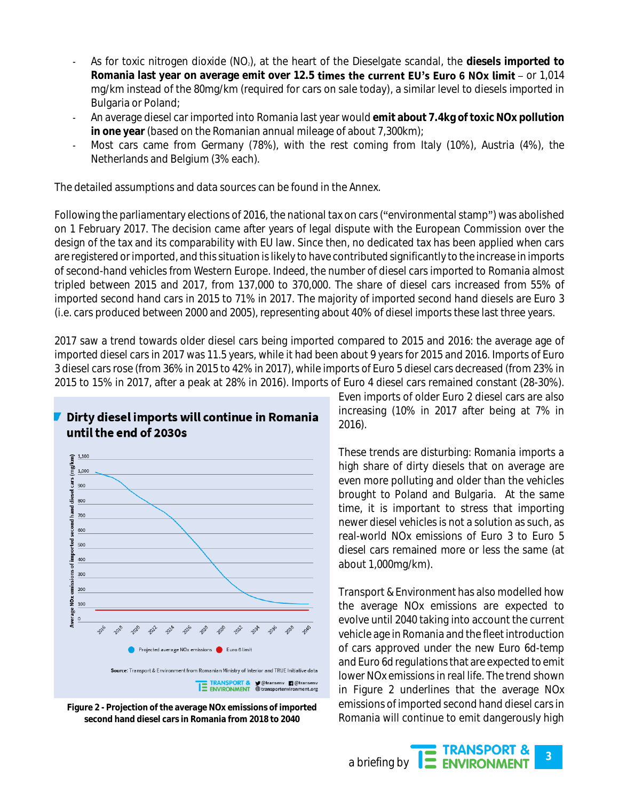- As for toxic nitrogen dioxide (NO2), at the heart of the Dieselgate scandal, the **diesels imported to**  Romania last year on average emit over 12.5 **times the current EU's Euro 6 NOx limit** - or 1,014 mg/km instead of the 80mg/km (required for cars on sale today), a similar level to diesels imported in Bulgaria or Poland;
- An average diesel car imported into Romania last year would **emit about 7.4kg of toxic NOx pollution in one year** (based on the Romanian annual mileage of about 7,300km);
- Most cars came from Germany (78%), with the rest coming from Italy (10%), Austria (4%), the Netherlands and Belgium (3% each).

The detailed assumptions and data sources can be found in the Annex.

Following the parliamentary elections of 2016, the national tax on cars ("environmental stamp") was abolished on 1 February 2017. The decision came after years of legal dispute with the European Commission over the design of the tax and its comparability with EU law. Since then, no dedicated tax has been applied when cars are registered or imported, and this situation is likely to have contributed significantly to the increase in imports of second-hand vehicles from Western Europe. Indeed, the number of diesel cars imported to Romania almost tripled between 2015 and 2017, from 137,000 to 370,000. The share of diesel cars increased from 55% of imported second hand cars in 2015 to 71% in 2017. The majority of imported second hand diesels are Euro 3 (i.e. cars produced between 2000 and 2005), representing about 40% of diesel imports these last three years.

2017 saw a trend towards older diesel cars being imported compared to 2015 and 2016: the average age of imported diesel cars in 2017 was 11.5 years, while it had been about 9 years for 2015 and 2016. Imports of Euro 3 diesel cars rose (from 36% in 2015 to 42% in 2017), while imports of Euro 5 diesel cars decreased (from 23% in 2015 to 15% in 2017, after a peak at 28% in 2016). Imports of Euro 4 diesel cars remained constant (28-30%).

### Dirty diesel imports will continue in Romania until the end of 2030s



<span id="page-2-0"></span>**Figure 2 - Projection of the average NOx emissions of imported second hand diesel cars in Romania from 2018 to 2040**

Even imports of older Euro 2 diesel cars are also increasing (10% in 2017 after being at 7% in 2016).

These trends are disturbing: Romania imports a high share of dirty diesels that on average are even more polluting and older than the vehicles brought to Poland and Bulgaria. At the same time, it is important to stress that importing newer diesel vehicles is not a solution as such, as real-world NOx emissions of Euro 3 to Euro 5 diesel cars remained more or less the same (at about 1,000mg/km).

Transport & Environment has also modelled how the average NOx emissions are expected to evolve until 2040 taking into account the current vehicle age in Romania and the fleet introduction of cars approved under the new Euro 6d-temp and Euro 6d regulations that are expected to emit lower NOx emissions in real life. The trend shown in [Figure 2](#page-2-0) underlines that the average NOx emissions of imported second hand diesel cars in Romania will continue to emit dangerously high

**TRANSPORT &**<br>ENVIRONMENT a briefing by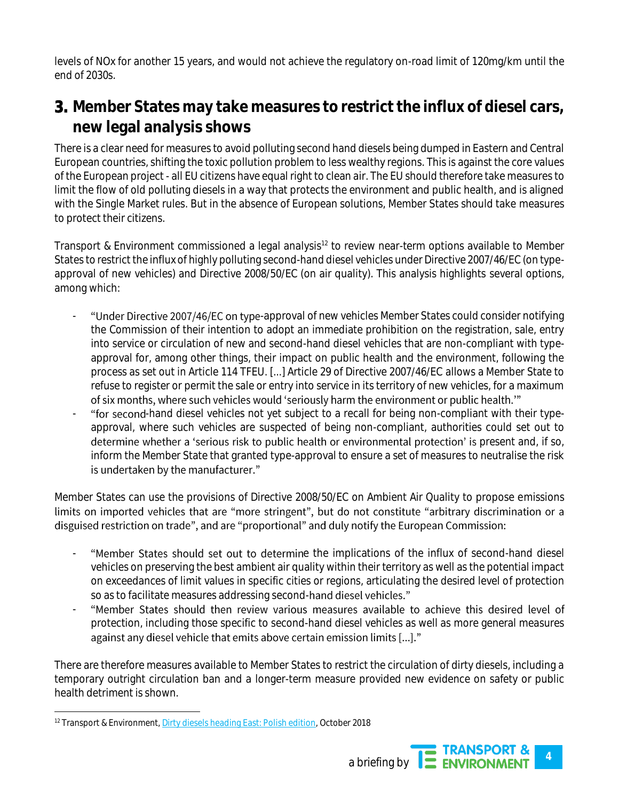levels of NOx for another 15 years, and would not achieve the regulatory on-road limit of 120mg/km until the end of 2030s.

# 3. **Member States may take measures to restrict the influx of diesel cars, new legal analysis shows**

There is a clear need for measures to avoid polluting second hand diesels being dumped in Eastern and Central European countries, shifting the toxic pollution problem to less wealthy regions. This is against the core values of the European project - all EU citizens have equal right to clean air. The EU should therefore take measures to limit the flow of old polluting diesels in a way that protects the environment and public health, and is aligned with the Single Market rules. But in the absence of European solutions, Member States should take measures to protect their citizens.

Transport & Environment commissioned a legal analysis<sup>12</sup> to review near-term options available to Member States to restrict the influx of highly polluting second-hand diesel vehicles under Directive 2007/46/EC (on typeapproval of new vehicles) and Directive 2008/50/EC (on air quality). This analysis highlights several options, among which:

- "Under Directive 2007/46/EC on type-approval of new vehicles Member States could consider notifying the Commission of their intention to adopt an immediate prohibition on the registration, sale, entry into service or circulation of new and second-hand diesel vehicles that are non-compliant with typeapproval for, among other things, their impact on public health and the environment, following the process as set out in Article 114 TFEU. [...] Article 29 of Directive 2007/46/EC allows a Member State to refuse to register or permit the sale or entry into service in its territory of new vehicles, for a maximum of six months, where such vehicles would 'seriously harm the environment or public health."
- "for second-hand diesel vehicles not yet subject to a recall for being non-compliant with their typeapproval, where such vehicles are suspected of being non-compliant, authorities could set out to determine whether a 'serious risk to public health or environmental protection' is present and, if so, inform the Member State that granted type-approval to ensure a set of measures to neutralise the risk is undertaken by the manufacturer."

Member States can use the provisions of Directive 2008/50/EC on Ambient Air Quality to propose emissions limits on imported vehicles that are "more stringent", but do not constitute "arbitrary discrimination or a disguised restriction on trade", and are "proportional" and duly notify the European Commission:

- "Member States should set out to determine the implications of the influx of second-hand diesel vehicles on preserving the best ambient air quality within their territory as well as the potential impact on exceedances of limit values in specific cities or regions, articulating the desired level of protection so as to facilitate measures addressing second-hand diesel vehicles."
- "Member States should then review various measures available to achieve this desired level of protection, including those specific to second-hand diesel vehicles as well as more general measures against any diesel vehicle that emits above certain emission limits [...]."

There are therefore measures available to Member States to restrict the circulation of dirty diesels, including a temporary outright circulation ban and a longer-term measure provided new evidence on safety or public health detriment is shown.

 <sup>12</sup> Transport & Environment[, Dirty diesels heading East: Polish edition,](https://www.transportenvironment.org/publications/dirty-diesels-heading-east-polish-edition) October 2018

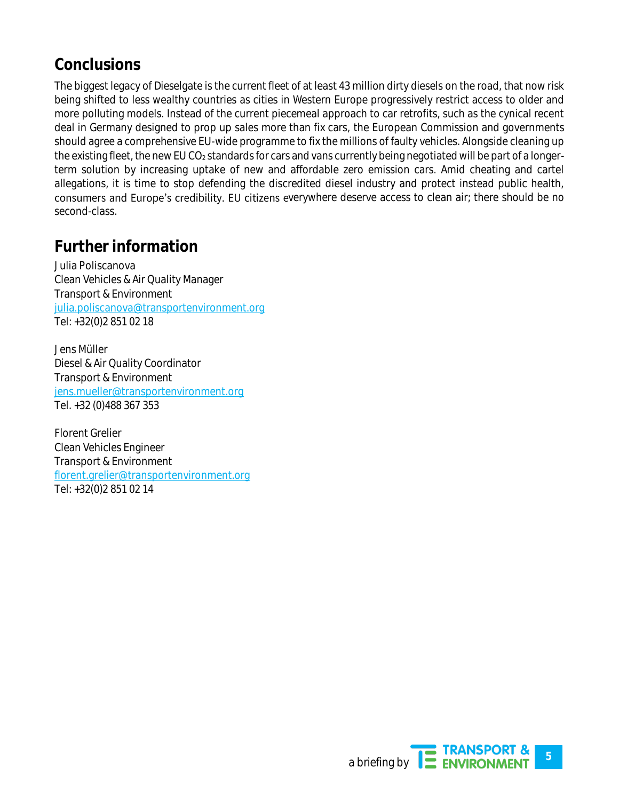# **Conclusions**

The biggest legacy of Dieselgate is the current fleet of at least 43 million dirty diesels on the road, that now risk being shifted to less wealthy countries as cities in Western Europe progressively restrict access to older and more polluting models. Instead of the current piecemeal approach to car retrofits, such as the cynical recent deal in Germany designed to prop up sales more than fix cars, the European Commission and governments should agree a comprehensive EU-wide programme to fix the millions of faulty vehicles. Alongside cleaning up the existing fleet, the new EU CO<sub>2</sub> standards for cars and vans currently being negotiated will be part of a longerterm solution by increasing uptake of new and affordable zero emission cars. Amid cheating and cartel allegations, it is time to stop defending the discredited diesel industry and protect instead public health, consumers and Europe's credibility. EU citizens everywhere deserve access to clean air; there should be no second-class.

# **Further information**

Julia Poliscanova Clean Vehicles & Air Quality Manager Transport & Environment [julia.poliscanova@transportenvironment.org](mailto:julia.poliscanova@transportenvironment.org) Tel: +32(0)2 851 02 18

Jens Müller Diesel & Air Quality Coordinator Transport & Environment [jens.mueller@transportenvironment.org](http://jens.mueller@transportenvironment.org)  Tel. +32 (0)488 367 353

Florent Grelier Clean Vehicles Engineer Transport & Environment [florent.grelier@transportenvironment.org](mailto:florent.grelier@transportenvironment.org) Tel: +32(0)2 851 02 14

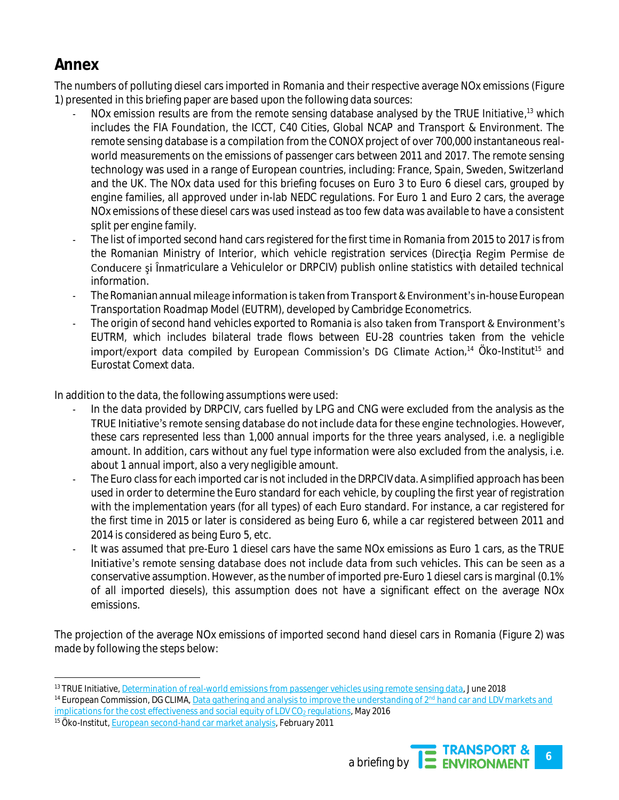# **Annex**

The numbers of polluting diesel cars imported in Romania and their respective average NOx emissions [\(Figure](#page-1-0)  [1\)](#page-1-0) presented in this briefing paper are based upon the following data sources:

- NOx emission results are from the remote sensing database analysed by the TRUE Initiative,<sup>13</sup> which includes the FIA Foundation, the ICCT, C40 Cities, Global NCAP and Transport & Environment. The remote sensing database is a compilation from the CONOX project of over 700,000 instantaneous realworld measurements on the emissions of passenger cars between 2011 and 2017. The remote sensing technology was used in a range of European countries, including: France, Spain, Sweden, Switzerland and the UK. The NOx data used for this briefing focuses on Euro 3 to Euro 6 diesel cars, grouped by engine families, all approved under in-lab NEDC regulations. For Euro 1 and Euro 2 cars, the average NOx emissions of these diesel cars was used instead as too few data was available to have a consistent split per engine family.
- The list of imported second hand cars registered for the first time in Romania from 2015 to 2017 is from the Romanian Ministry of Interior, which vehicle registration services (Directia Regim Permise de Conducere si Înmatriculare a Vehiculelor or DRPCIV) publish online statistics with detailed technical information.
- The Romanian annual mileage information is taken from Transport & Environment's in-house European Transportation Roadmap Model (EUTRM), developed by Cambridge Econometrics.
- The origin of second hand vehicles exported to Romania is also taken from Transport & Environment's EUTRM, which includes bilateral trade flows between EU-28 countries taken from the vehicle , <sup>14</sup> Öko-Institut<sup>15</sup> and Eurostat Comext data.

In addition to the data, the following assumptions were used:

- In the data provided by DRPCIV, cars fuelled by LPG and CNG were excluded from the analysis as the TRUE Initiative's remote sensing database do not include data for these engine technologies. However, these cars represented less than 1,000 annual imports for the three years analysed, i.e. a negligible amount. In addition, cars without any fuel type information were also excluded from the analysis, i.e. about 1 annual import, also a very negligible amount.
- The Euro class for each imported car is not included in the DRPCIV data. A simplified approach has been used in order to determine the Euro standard for each vehicle, by coupling the first year of registration with the implementation years (for all types) of each Euro standard. For instance, a car registered for the first time in 2015 or later is considered as being Euro 6, while a car registered between 2011 and 2014 is considered as being Euro 5, etc.
- It was assumed that pre-Euro 1 diesel cars have the same NOx emissions as Euro 1 cars, as the TRUE Initiative's remote sensing database does not include data from such vehicles. This can be seen as a conservative assumption. However, as the number of imported pre-Euro 1 diesel cars is marginal (0.1% of all imported diesels), this assumption does not have a significant effect on the average NOx emissions.

The projection of the average NOx emissions of imported second hand diesel cars in Romania [\(Figure 2\)](#page-2-0) was made by following the steps below:

<sup>15</sup> Öko-Institut[, European second-hand car market analysis,](https://www.oeko.de/oekodoc/1114/2011-005-en.pdf) February 2011



 13 TRUE Initiative[, Determination of real-world emissions from passenger vehicles using remote sensing data,](https://www.trueinitiative.org/data/publications/determination-of-real-world-emissions-from-passenger-vehicles-using-remote-sensing-data) June 2018 14 European Commission, DG CLIMA[, Data gathering and analysis to improve the understanding of 2](https://ec.europa.eu/clima/sites/clima/files/transport/vehicles/docs/2nd_hand_cars_en.pdf)<sup>nd</sup> hand car and LDV markets and  $implications$  for the cost effectiveness and social equity of LDV CO<sub>2</sub> regulations, May 2016